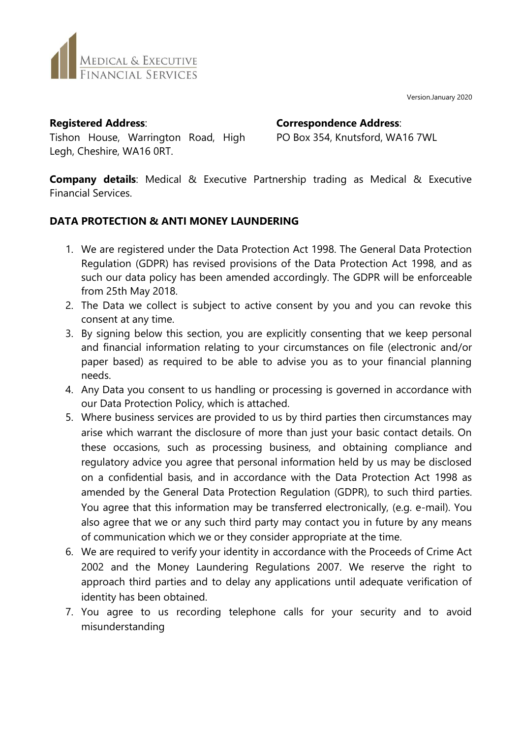Version.January 2020



**Registered Address**:

Tishon House, Warrington Road, High Legh, Cheshire, WA16 0RT.

**Correspondence Address**:

PO Box 354, Knutsford, WA16 7WL

**Company details**: Medical & Executive Partnership trading as Medical & Executive Financial Services.

# **DATA PROTECTION & ANTI MONEY LAUNDERING**

- 1. We are registered under the Data Protection Act 1998. The General Data Protection Regulation (GDPR) has revised provisions of the Data Protection Act 1998, and as such our data policy has been amended accordingly. The GDPR will be enforceable from 25th May 2018.
- 2. The Data we collect is subject to active consent by you and you can revoke this consent at any time.
- 3. By signing below this section, you are explicitly consenting that we keep personal and financial information relating to your circumstances on file (electronic and/or paper based) as required to be able to advise you as to your financial planning needs.
- 4. Any Data you consent to us handling or processing is governed in accordance with our Data Protection Policy, which is attached.
- 5. Where business services are provided to us by third parties then circumstances may arise which warrant the disclosure of more than just your basic contact details. On these occasions, such as processing business, and obtaining compliance and regulatory advice you agree that personal information held by us may be disclosed on a confidential basis, and in accordance with the Data Protection Act 1998 as amended by the General Data Protection Regulation (GDPR), to such third parties. You agree that this information may be transferred electronically, (e.g. e-mail). You also agree that we or any such third party may contact you in future by any means of communication which we or they consider appropriate at the time.
- 6. We are required to verify your identity in accordance with the Proceeds of Crime Act 2002 and the Money Laundering Regulations 2007. We reserve the right to approach third parties and to delay any applications until adequate verification of identity has been obtained.
- 7. You agree to us recording telephone calls for your security and to avoid misunderstanding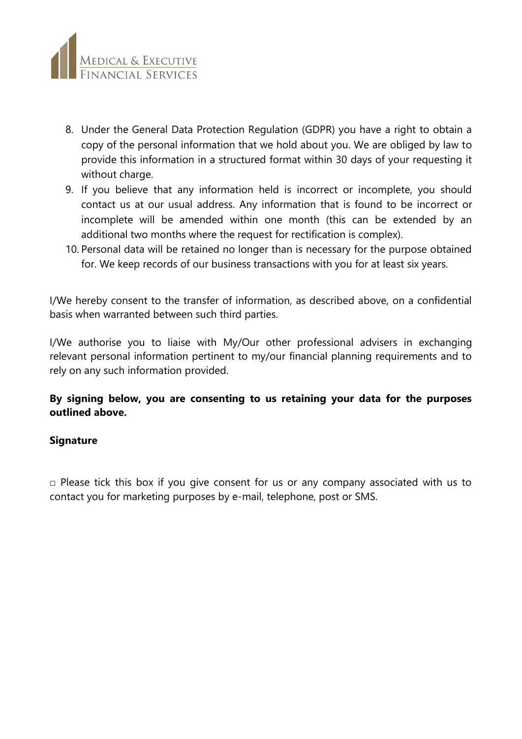

- 8. Under the General Data Protection Regulation (GDPR) you have a right to obtain a copy of the personal information that we hold about you. We are obliged by law to provide this information in a structured format within 30 days of your requesting it without charge.
- 9. If you believe that any information held is incorrect or incomplete, you should contact us at our usual address. Any information that is found to be incorrect or incomplete will be amended within one month (this can be extended by an additional two months where the request for rectification is complex).
- 10. Personal data will be retained no longer than is necessary for the purpose obtained for. We keep records of our business transactions with you for at least six years.

I/We hereby consent to the transfer of information, as described above, on a confidential basis when warranted between such third parties.

I/We authorise you to liaise with My/Our other professional advisers in exchanging relevant personal information pertinent to my/our financial planning requirements and to rely on any such information provided.

## **By signing below, you are consenting to us retaining your data for the purposes outlined above.**

## **Signature**

 $\Box$  Please tick this box if you give consent for us or any company associated with us to contact you for marketing purposes by e-mail, telephone, post or SMS.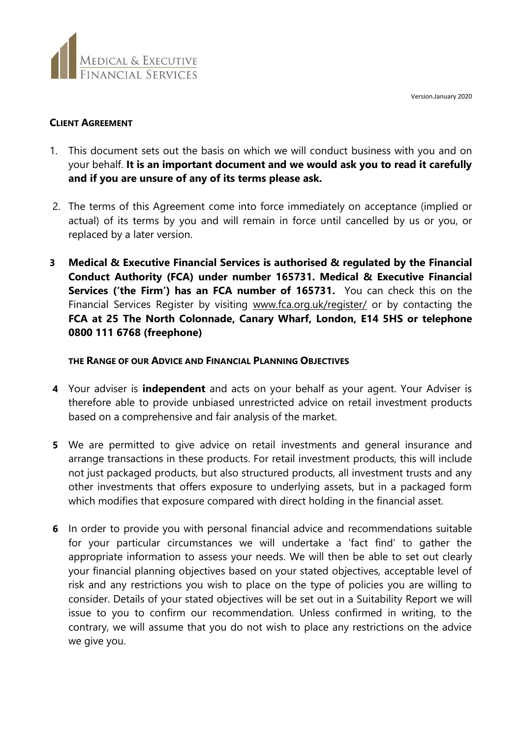Version.January 2020



## **CLIENT AGREEMENT**

- 1. This document sets out the basis on which we will conduct business with you and on your behalf. **It is an important document and we would ask you to read it carefully and if you are unsure of any of its terms please ask.**
- 2. The terms of this Agreement come into force immediately on acceptance (implied or actual) of its terms by you and will remain in force until cancelled by us or you, or replaced by a later version.
- **3 Medical & Executive Financial Services is authorised & regulated by the Financial Conduct Authority (FCA) under number 165731. Medical & Executive Financial Services ('the Firm') has an FCA number of 165731.** You can check this on the Financial Services Register by visiting [www.fca.org.uk/register/](http://www.fca.org.uk/register/) or by contacting the **FCA at 25 The North Colonnade, Canary Wharf, London, E14 5HS or telephone 0800 111 6768 (freephone)**

## **THE RANGE OF OUR ADVICE AND FINANCIAL PLANNING OBJECTIVES**

- **4** Your adviser is **independent** and acts on your behalf as your agent. Your Adviser is therefore able to provide unbiased unrestricted advice on retail investment products based on a comprehensive and fair analysis of the market.
- **5** We are permitted to give advice on retail investments and general insurance and arrange transactions in these products. For retail investment products, this will include not just packaged products, but also structured products, all investment trusts and any other investments that offers exposure to underlying assets, but in a packaged form which modifies that exposure compared with direct holding in the financial asset.
- **6** In order to provide you with personal financial advice and recommendations suitable for your particular circumstances we will undertake a 'fact find' to gather the appropriate information to assess your needs. We will then be able to set out clearly your financial planning objectives based on your stated objectives, acceptable level of risk and any restrictions you wish to place on the type of policies you are willing to consider. Details of your stated objectives will be set out in a Suitability Report we will issue to you to confirm our recommendation. Unless confirmed in writing, to the contrary, we will assume that you do not wish to place any restrictions on the advice we give you.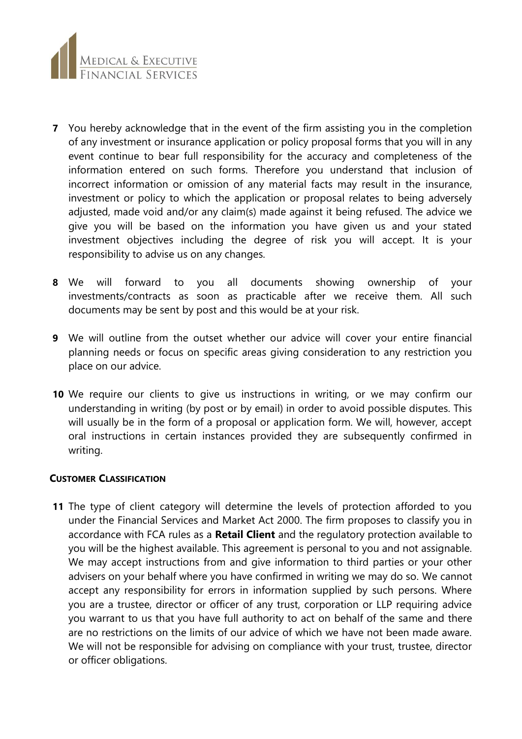

- **7** You hereby acknowledge that in the event of the firm assisting you in the completion of any investment or insurance application or policy proposal forms that you will in any event continue to bear full responsibility for the accuracy and completeness of the information entered on such forms. Therefore you understand that inclusion of incorrect information or omission of any material facts may result in the insurance, investment or policy to which the application or proposal relates to being adversely adjusted, made void and/or any claim(s) made against it being refused. The advice we give you will be based on the information you have given us and your stated investment objectives including the degree of risk you will accept. It is your responsibility to advise us on any changes.
- **8** We will forward to you all documents showing ownership of your investments/contracts as soon as practicable after we receive them. All such documents may be sent by post and this would be at your risk.
- **9** We will outline from the outset whether our advice will cover your entire financial planning needs or focus on specific areas giving consideration to any restriction you place on our advice.
- **10** We require our clients to give us instructions in writing, or we may confirm our understanding in writing (by post or by email) in order to avoid possible disputes. This will usually be in the form of a proposal or application form. We will, however, accept oral instructions in certain instances provided they are subsequently confirmed in writing.

### **CUSTOMER CLASSIFICATION**

**11** The type of client category will determine the levels of protection afforded to you under the Financial Services and Market Act 2000. The firm proposes to classify you in accordance with FCA rules as a **Retail Client** and the regulatory protection available to you will be the highest available. This agreement is personal to you and not assignable. We may accept instructions from and give information to third parties or your other advisers on your behalf where you have confirmed in writing we may do so. We cannot accept any responsibility for errors in information supplied by such persons. Where you are a trustee, director or officer of any trust, corporation or LLP requiring advice you warrant to us that you have full authority to act on behalf of the same and there are no restrictions on the limits of our advice of which we have not been made aware. We will not be responsible for advising on compliance with your trust, trustee, director or officer obligations.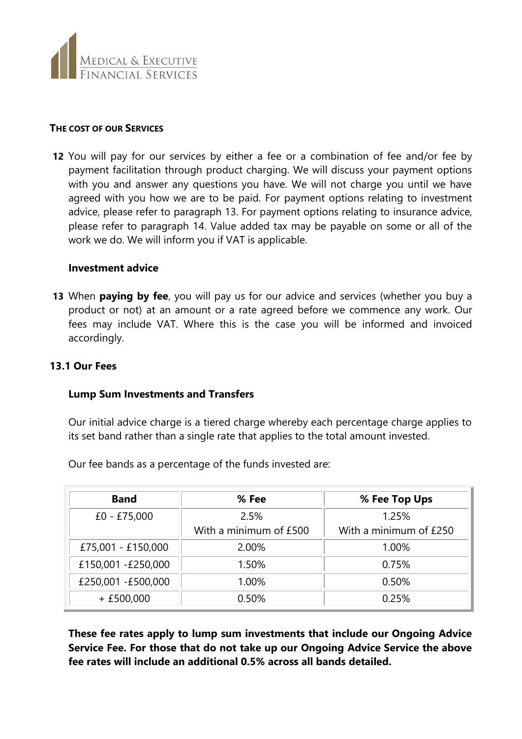

#### **THE COST OF OUR SERVICES**

**12** You will pay for our services by either a fee or a combination of fee and/or fee by payment facilitation through product charging. We will discuss your payment options with you and answer any questions you have. We will not charge you until we have agreed with you how we are to be paid. For payment options relating to investment advice, please refer to paragraph 13. For payment options relating to insurance advice, please refer to paragraph 14. Value added tax may be payable on some or all of the work we do. We will inform you if VAT is applicable.

#### **Investment advice**

**13** When **paying by fee**, you will pay us for our advice and services (whether you buy a product or not) at an amount or a rate agreed before we commence any work. Our fees may include VAT. Where this is the case you will be informed and invoiced accordingly.

## **13.1 Our Fees**

### **Lump Sum Investments and Transfers**

Our initial advice charge is a tiered charge whereby each percentage charge applies to its set band rather than a single rate that applies to the total amount invested.

| <b>Band</b>        | % Fee                  | % Fee Top Ups          |
|--------------------|------------------------|------------------------|
| $£0 - £75,000$     | 2.5%                   | 1.25%                  |
|                    | With a minimum of £500 | With a minimum of £250 |
| £75,001 - £150,000 | 2.00%                  | 1.00%                  |
| £150,001 -£250,000 | 1.50%                  | 0.75%                  |
| £250,001 -£500,000 | 1.00%                  | 0.50%                  |
| $+£500,000$        | 0.50%                  | 0.25%                  |

Our fee bands as a percentage of the funds invested are:

**These fee rates apply to lump sum investments that include our Ongoing Advice Service Fee. For those that do not take up our Ongoing Advice Service the above fee rates will include an additional 0.5% across all bands detailed.**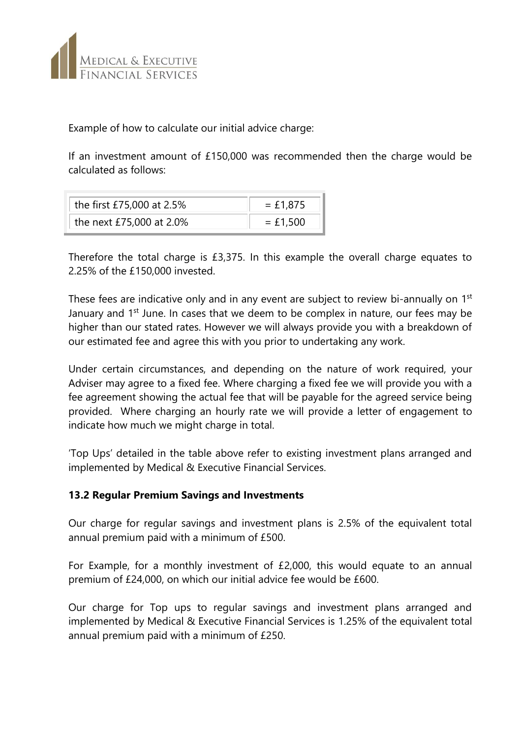

Example of how to calculate our initial advice charge:

If an investment amount of £150,000 was recommended then the charge would be calculated as follows:

| the first £75,000 at 2.5% | $= £1.875$ |  |  |  |  |  |
|---------------------------|------------|--|--|--|--|--|
| the next £75,000 at 2.0%  | $= £1,500$ |  |  |  |  |  |

Therefore the total charge is £3,375. In this example the overall charge equates to 2.25% of the £150,000 invested.

These fees are indicative only and in any event are subject to review bi-annually on 1<sup>st</sup> January and  $1<sup>st</sup>$  June. In cases that we deem to be complex in nature, our fees may be higher than our stated rates. However we will always provide you with a breakdown of our estimated fee and agree this with you prior to undertaking any work.

Under certain circumstances, and depending on the nature of work required, your Adviser may agree to a fixed fee. Where charging a fixed fee we will provide you with a fee agreement showing the actual fee that will be payable for the agreed service being provided. Where charging an hourly rate we will provide a letter of engagement to indicate how much we might charge in total.

'Top Ups' detailed in the table above refer to existing investment plans arranged and implemented by Medical & Executive Financial Services.

## **13.2 Regular Premium Savings and Investments**

Our charge for regular savings and investment plans is 2.5% of the equivalent total annual premium paid with a minimum of £500.

For Example, for a monthly investment of £2,000, this would equate to an annual premium of £24,000, on which our initial advice fee would be £600.

Our charge for Top ups to regular savings and investment plans arranged and implemented by Medical & Executive Financial Services is 1.25% of the equivalent total annual premium paid with a minimum of £250.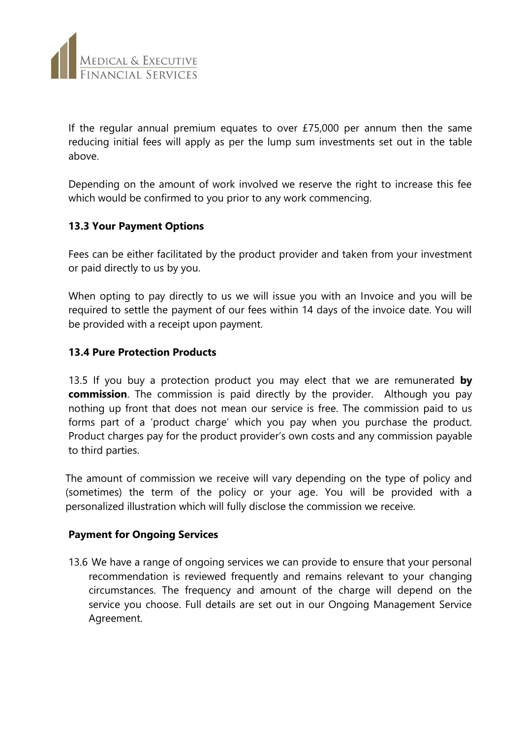

If the regular annual premium equates to over £75,000 per annum then the same reducing initial fees will apply as per the lump sum investments set out in the table above.

Depending on the amount of work involved we reserve the right to increase this fee which would be confirmed to you prior to any work commencing.

## **13.3 Your Payment Options**

Fees can be either facilitated by the product provider and taken from your investment or paid directly to us by you.

When opting to pay directly to us we will issue you with an Invoice and you will be required to settle the payment of our fees within 14 days of the invoice date. You will be provided with a receipt upon payment.

## **13.4 Pure Protection Products**

13.5 If you buy a protection product you may elect that we are remunerated **by commission**. The commission is paid directly by the provider. Although you pay nothing up front that does not mean our service is free. The commission paid to us forms part of a 'product charge' which you pay when you purchase the product. Product charges pay for the product provider's own costs and any commission payable to third parties.

The amount of commission we receive will vary depending on the type of policy and (sometimes) the term of the policy or your age. You will be provided with a personalized illustration which will fully disclose the commission we receive.

### **Payment for Ongoing Services**

13.6 We have a range of ongoing services we can provide to ensure that your personal recommendation is reviewed frequently and remains relevant to your changing circumstances. The frequency and amount of the charge will depend on the service you choose. Full details are set out in our Ongoing Management Service Agreement.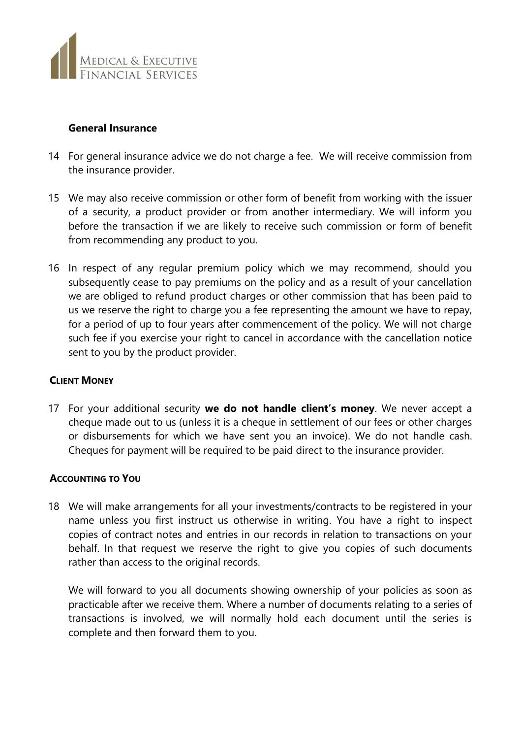

### **General Insurance**

- 14 For general insurance advice we do not charge a fee. We will receive commission from the insurance provider.
- 15 We may also receive commission or other form of benefit from working with the issuer of a security, a product provider or from another intermediary. We will inform you before the transaction if we are likely to receive such commission or form of benefit from recommending any product to you.
- 16 In respect of any regular premium policy which we may recommend, should you subsequently cease to pay premiums on the policy and as a result of your cancellation we are obliged to refund product charges or other commission that has been paid to us we reserve the right to charge you a fee representing the amount we have to repay, for a period of up to four years after commencement of the policy. We will not charge such fee if you exercise your right to cancel in accordance with the cancellation notice sent to you by the product provider.

## **CLIENT MONEY**

17 For your additional security **we do not handle client's money**. We never accept a cheque made out to us (unless it is a cheque in settlement of our fees or other charges or disbursements for which we have sent you an invoice). We do not handle cash. Cheques for payment will be required to be paid direct to the insurance provider.

### **ACCOUNTING TO YOU**

18 We will make arrangements for all your investments/contracts to be registered in your name unless you first instruct us otherwise in writing. You have a right to inspect copies of contract notes and entries in our records in relation to transactions on your behalf. In that request we reserve the right to give you copies of such documents rather than access to the original records.

We will forward to you all documents showing ownership of your policies as soon as practicable after we receive them. Where a number of documents relating to a series of transactions is involved, we will normally hold each document until the series is complete and then forward them to you.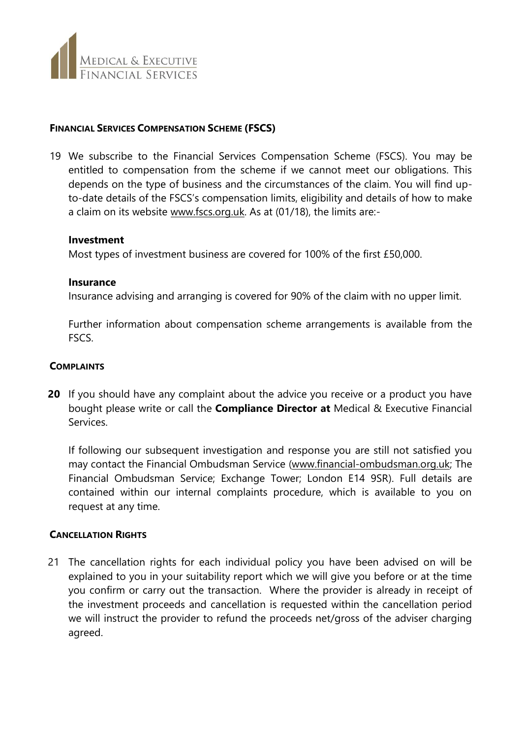

### **FINANCIAL SERVICES COMPENSATION SCHEME (FSCS)**

19 We subscribe to the Financial Services Compensation Scheme (FSCS). You may be entitled to compensation from the scheme if we cannot meet our obligations. This depends on the type of business and the circumstances of the claim. You will find upto-date details of the FSCS's compensation limits, eligibility and details of how to make a claim on its website [www.fscs.org.uk.](http://www.fscs.org.uk/) As at (01/18), the limits are:-

#### **Investment**

Most types of investment business are covered for 100% of the first £50,000.

#### **Insurance**

Insurance advising and arranging is covered for 90% of the claim with no upper limit.

Further information about compensation scheme arrangements is available from the FSCS.

#### **COMPLAINTS**

**20** If you should have any complaint about the advice you receive or a product you have bought please write or call the **Compliance Director at** Medical & Executive Financial Services.

If following our subsequent investigation and response you are still not satisfied you may contact the Financial Ombudsman Service [\(www.financial-ombudsman.org.uk;](http://www.financial-ombudsman.org.uk/) The Financial Ombudsman Service; Exchange Tower; London E14 9SR). Full details are contained within our internal complaints procedure, which is available to you on request at any time.

### **CANCELLATION RIGHTS**

21 The cancellation rights for each individual policy you have been advised on will be explained to you in your suitability report which we will give you before or at the time you confirm or carry out the transaction. Where the provider is already in receipt of the investment proceeds and cancellation is requested within the cancellation period we will instruct the provider to refund the proceeds net/gross of the adviser charging agreed.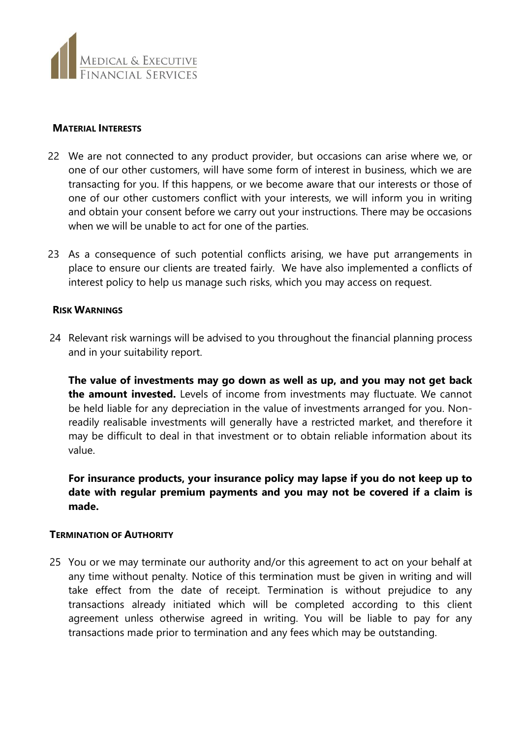

#### **MATERIAL INTERESTS**

- 22 We are not connected to any product provider, but occasions can arise where we, or one of our other customers, will have some form of interest in business, which we are transacting for you. If this happens, or we become aware that our interests or those of one of our other customers conflict with your interests, we will inform you in writing and obtain your consent before we carry out your instructions. There may be occasions when we will be unable to act for one of the parties.
- 23 As a consequence of such potential conflicts arising, we have put arrangements in place to ensure our clients are treated fairly. We have also implemented a conflicts of interest policy to help us manage such risks, which you may access on request.

#### **RISK WARNINGS**

24 Relevant risk warnings will be advised to you throughout the financial planning process and in your suitability report.

**The value of investments may go down as well as up, and you may not get back the amount invested.** Levels of income from investments may fluctuate. We cannot be held liable for any depreciation in the value of investments arranged for you. Nonreadily realisable investments will generally have a restricted market, and therefore it may be difficult to deal in that investment or to obtain reliable information about its value.

**For insurance products, your insurance policy may lapse if you do not keep up to date with regular premium payments and you may not be covered if a claim is made.**

### **TERMINATION OF AUTHORITY**

25 You or we may terminate our authority and/or this agreement to act on your behalf at any time without penalty. Notice of this termination must be given in writing and will take effect from the date of receipt. Termination is without prejudice to any transactions already initiated which will be completed according to this client agreement unless otherwise agreed in writing. You will be liable to pay for any transactions made prior to termination and any fees which may be outstanding.